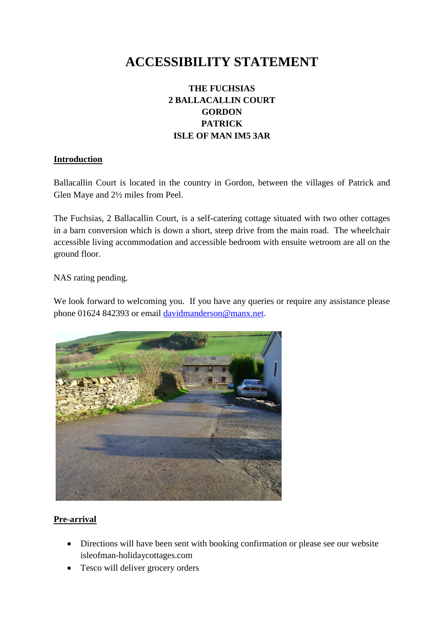# **ACCESSIBILITY STATEMENT**

# **THE FUCHSIAS 2 BALLACALLIN COURT GORDON PATRICK ISLE OF MAN IM5 3AR**

#### **Introduction**

Ballacallin Court is located in the country in Gordon, between the villages of Patrick and Glen Maye and 2½ miles from Peel.

The Fuchsias, 2 Ballacallin Court, is a self-catering cottage situated with two other cottages in a barn conversion which is down a short, steep drive from the main road. The wheelchair accessible living accommodation and accessible bedroom with ensuite wetroom are all on the ground floor.

NAS rating pending.

We look forward to welcoming you. If you have any queries or require any assistance please phone 01624 842393 or email [davidmanderson@manx.net.](mailto:davidmanderson@manx.net)



# **Pre-arrival**

- Directions will have been sent with booking confirmation or please see our website isleofman-holidaycottages.com
- Tesco will deliver grocery orders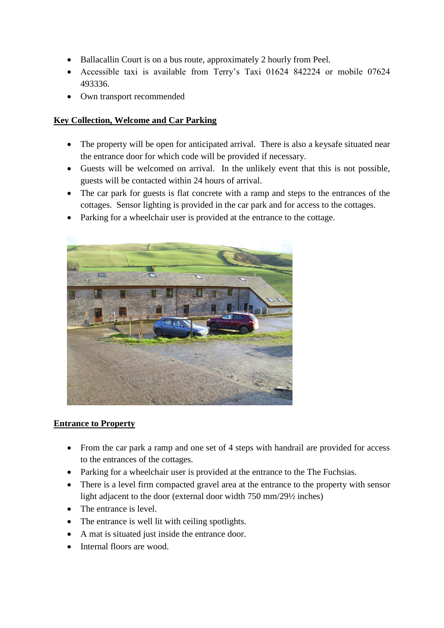- Ballacallin Court is on a bus route, approximately 2 hourly from Peel.
- Accessible taxi is available from Terry's Taxi 01624 842224 or mobile 07624 493336.
- Own transport recommended

#### **Key Collection, Welcome and Car Parking**

- The property will be open for anticipated arrival. There is also a keysafe situated near the entrance door for which code will be provided if necessary.
- Guests will be welcomed on arrival. In the unlikely event that this is not possible, guests will be contacted within 24 hours of arrival.
- The car park for guests is flat concrete with a ramp and steps to the entrances of the cottages. Sensor lighting is provided in the car park and for access to the cottages.
- Parking for a wheelchair user is provided at the entrance to the cottage.



#### **Entrance to Property**

- From the car park a ramp and one set of 4 steps with handrail are provided for access to the entrances of the cottages.
- Parking for a wheelchair user is provided at the entrance to the The Fuchsias.
- There is a level firm compacted gravel area at the entrance to the property with sensor light adjacent to the door (external door width 750 mm/29½ inches)
- The entrance is level.
- The entrance is well lit with ceiling spotlights.
- A mat is situated just inside the entrance door.
- Internal floors are wood.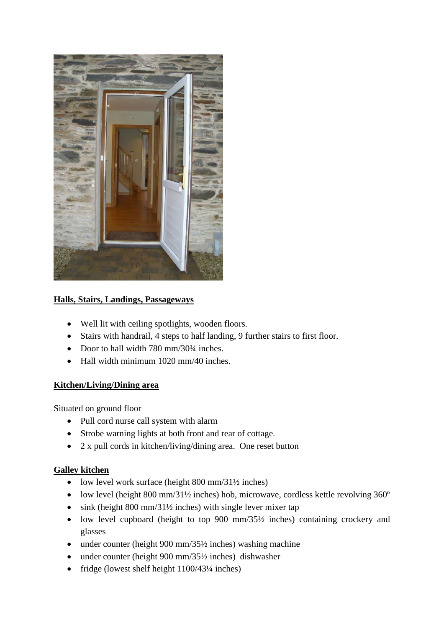

# **Halls, Stairs, Landings, Passageways**

- Well lit with ceiling spotlights, wooden floors.
- Stairs with handrail, 4 steps to half landing, 9 further stairs to first floor.
- Door to hall width  $780 \text{ mm}/30\frac{3}{4}$  inches.
- Hall width minimum 1020 mm/40 inches.

#### **Kitchen/Living/Dining area**

Situated on ground floor

- Pull cord nurse call system with alarm
- Strobe warning lights at both front and rear of cottage.
- 2 x pull cords in kitchen/living/dining area. One reset button

# **Galley kitchen**

- low level work surface (height  $800 \text{ mm}/31\frac{1}{2}$  inches)
- low level (height 800 mm/31<sup>1/2</sup> inches) hob, microwave, cordless kettle revolving 360<sup>°</sup>
- $\cdot$  sink (height 800 mm/31<sup>1</sup>/<sub>2</sub> inches) with single lever mixer tap
- low level cupboard (height to top  $900 \text{ mm}/35\frac{1}{2}$  inches) containing crockery and glasses
- under counter (height 900 mm/35½ inches) washing machine
- under counter (height 900 mm/35½ inches) dishwasher
- fridge (lowest shelf height  $1100/43\frac{1}{4}$  inches)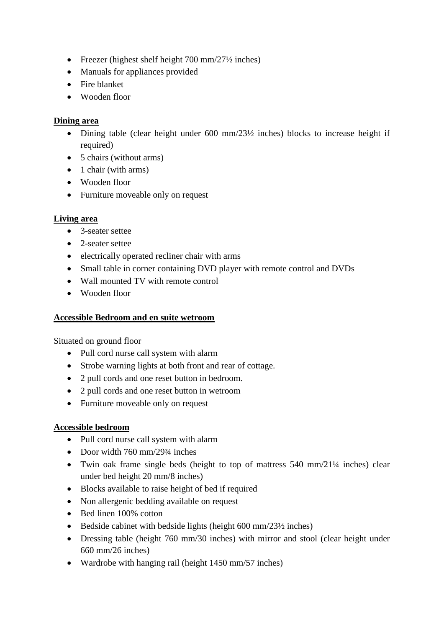- Freezer (highest shelf height  $700 \text{ mm}/27\frac{1}{2}$  inches)
- Manuals for appliances provided
- Fire blanket
- Wooden floor

### **Dining area**

- Dining table (clear height under 600 mm/23½ inches) blocks to increase height if required)
- 5 chairs (without arms)
- $\bullet$  1 chair (with arms)
- Wooden floor
- Furniture moveable only on request

# **Living area**

- 3-seater settee
- 2-seater settee
- electrically operated recliner chair with arms
- Small table in corner containing DVD player with remote control and DVDs
- Wall mounted TV with remote control
- Wooden floor

# **Accessible Bedroom and en suite wetroom**

Situated on ground floor

- Pull cord nurse call system with alarm
- Strobe warning lights at both front and rear of cottage.
- 2 pull cords and one reset button in bedroom.
- 2 pull cords and one reset button in wetroom
- Furniture moveable only on request

# **Accessible bedroom**

- Pull cord nurse call system with alarm
- Door width  $760 \text{ mm}/293/4$  inches
- Twin oak frame single beds (height to top of mattress 540 mm/21¼ inches) clear under bed height 20 mm/8 inches)
- Blocks available to raise height of bed if required
- Non allergenic bedding available on request
- Bed linen 100% cotton
- Bedside cabinet with bedside lights (height  $600 \text{ mm}/23\frac{1}{2}$  inches)
- Dressing table (height 760 mm/30 inches) with mirror and stool (clear height under 660 mm/26 inches)
- Wardrobe with hanging rail (height 1450 mm/57 inches)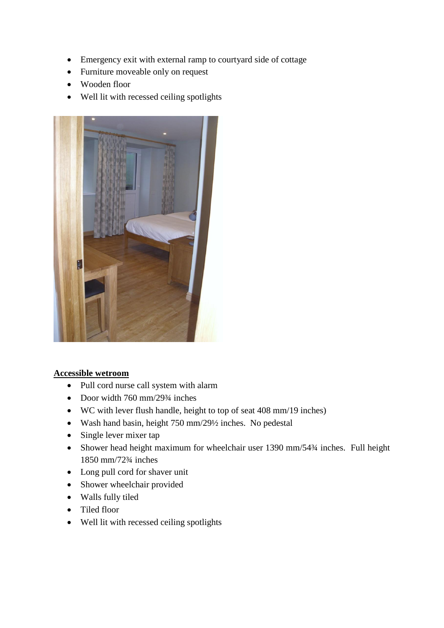- Emergency exit with external ramp to courtyard side of cottage
- Furniture moveable only on request
- Wooden floor
- Well lit with recessed ceiling spotlights



#### **Accessible wetroom**

- Pull cord nurse call system with alarm
- Door width  $760 \text{ mm}/293/4$  inches
- WC with lever flush handle, height to top of seat 408 mm/19 inches)
- Wash hand basin, height 750 mm/29½ inches. No pedestal
- Single lever mixer tap
- Shower head height maximum for wheelchair user 1390 mm/54 $\frac{3}{4}$  inches. Full height 1850 mm/72¾ inches
- Long pull cord for shaver unit
- Shower wheelchair provided
- Walls fully tiled
- Tiled floor
- Well lit with recessed ceiling spotlights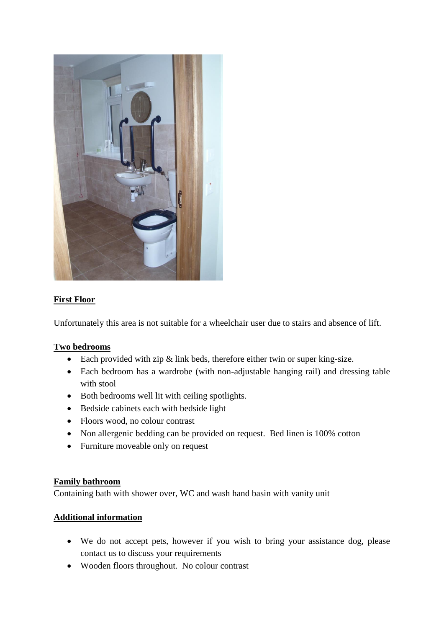

# **First Floor**

Unfortunately this area is not suitable for a wheelchair user due to stairs and absence of lift.

#### **Two bedrooms**

- Each provided with zip & link beds, therefore either twin or super king-size.
- Each bedroom has a wardrobe (with non-adjustable hanging rail) and dressing table with stool
- Both bedrooms well lit with ceiling spotlights.
- Bedside cabinets each with bedside light
- Floors wood, no colour contrast
- Non allergenic bedding can be provided on request. Bed linen is 100% cotton
- Furniture moveable only on request

#### **Family bathroom**

Containing bath with shower over, WC and wash hand basin with vanity unit

#### **Additional information**

- We do not accept pets, however if you wish to bring your assistance dog, please contact us to discuss your requirements
- Wooden floors throughout. No colour contrast